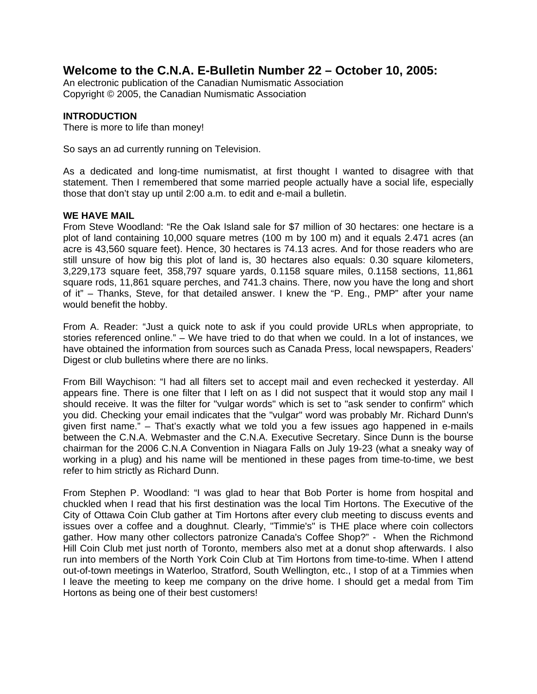# **Welcome to the C.N.A. E-Bulletin Number 22 – October 10, 2005:**

An electronic publication of the Canadian Numismatic Association Copyright © 2005, the Canadian Numismatic Association

# **INTRODUCTION**

There is more to life than money!

So says an ad currently running on Television.

As a dedicated and long-time numismatist, at first thought I wanted to disagree with that statement. Then I remembered that some married people actually have a social life, especially those that don't stay up until 2:00 a.m. to edit and e-mail a bulletin.

# **WE HAVE MAIL**

From Steve Woodland: "Re the Oak Island sale for \$7 million of 30 hectares: one hectare is a plot of land containing 10,000 square metres (100 m by 100 m) and it equals 2.471 acres (an acre is 43,560 square feet). Hence, 30 hectares is 74.13 acres. And for those readers who are still unsure of how big this plot of land is, 30 hectares also equals: 0.30 square kilometers, 3,229,173 square feet, 358,797 square yards, 0.1158 square miles, 0.1158 sections, 11,861 square rods, 11,861 square perches, and 741.3 chains. There, now you have the long and short of it" – Thanks, Steve, for that detailed answer. I knew the "P. Eng., PMP" after your name would benefit the hobby.

From A. Reader: "Just a quick note to ask if you could provide URLs when appropriate, to stories referenced online." – We have tried to do that when we could. In a lot of instances, we have obtained the information from sources such as Canada Press, local newspapers, Readers' Digest or club bulletins where there are no links.

From Bill Waychison: "I had all filters set to accept mail and even rechecked it yesterday. All appears fine. There is one filter that I left on as I did not suspect that it would stop any mail I should receive. It was the filter for "vulgar words" which is set to "ask sender to confirm" which you did. Checking your email indicates that the "vulgar" word was probably Mr. Richard Dunn's given first name." – That's exactly what we told you a few issues ago happened in e-mails between the C.N.A. Webmaster and the C.N.A. Executive Secretary. Since Dunn is the bourse chairman for the 2006 C.N.A Convention in Niagara Falls on July 19-23 (what a sneaky way of working in a plug) and his name will be mentioned in these pages from time-to-time, we best refer to him strictly as Richard Dunn.

From Stephen P. Woodland: "I was glad to hear that Bob Porter is home from hospital and chuckled when I read that his first destination was the local Tim Hortons. The Executive of the City of Ottawa Coin Club gather at Tim Hortons after every club meeting to discuss events and issues over a coffee and a doughnut. Clearly, "Timmie's" is THE place where coin collectors gather. How many other collectors patronize Canada's Coffee Shop?" - When the Richmond Hill Coin Club met just north of Toronto, members also met at a donut shop afterwards. I also run into members of the North York Coin Club at Tim Hortons from time-to-time. When I attend out-of-town meetings in Waterloo, Stratford, South Wellington, etc., I stop of at a Timmies when I leave the meeting to keep me company on the drive home. I should get a medal from Tim Hortons as being one of their best customers!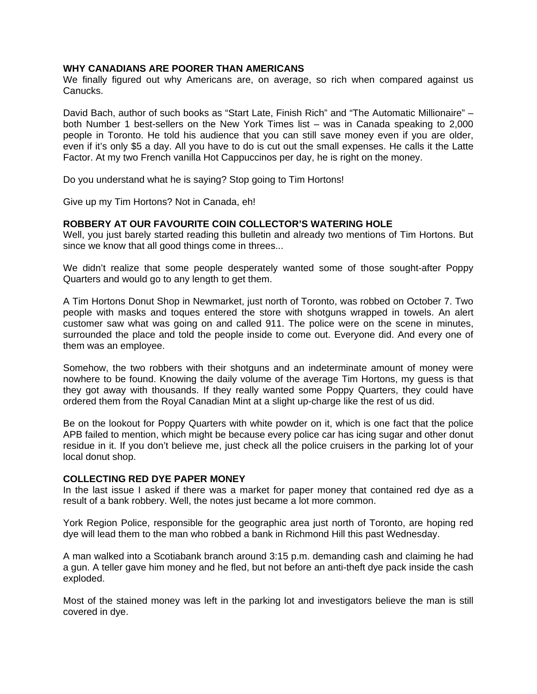## **WHY CANADIANS ARE POORER THAN AMERICANS**

We finally figured out why Americans are, on average, so rich when compared against us Canucks.

David Bach, author of such books as "Start Late, Finish Rich" and "The Automatic Millionaire" – both Number 1 best-sellers on the New York Times list – was in Canada speaking to 2,000 people in Toronto. He told his audience that you can still save money even if you are older, even if it's only \$5 a day. All you have to do is cut out the small expenses. He calls it the Latte Factor. At my two French vanilla Hot Cappuccinos per day, he is right on the money.

Do you understand what he is saying? Stop going to Tim Hortons!

Give up my Tim Hortons? Not in Canada, eh!

## **ROBBERY AT OUR FAVOURITE COIN COLLECTOR'S WATERING HOLE**

Well, you just barely started reading this bulletin and already two mentions of Tim Hortons. But since we know that all good things come in threes...

We didn't realize that some people desperately wanted some of those sought-after Poppy Quarters and would go to any length to get them.

A Tim Hortons Donut Shop in Newmarket, just north of Toronto, was robbed on October 7. Two people with masks and toques entered the store with shotguns wrapped in towels. An alert customer saw what was going on and called 911. The police were on the scene in minutes, surrounded the place and told the people inside to come out. Everyone did. And every one of them was an employee.

Somehow, the two robbers with their shotguns and an indeterminate amount of money were nowhere to be found. Knowing the daily volume of the average Tim Hortons, my guess is that they got away with thousands. If they really wanted some Poppy Quarters, they could have ordered them from the Royal Canadian Mint at a slight up-charge like the rest of us did.

Be on the lookout for Poppy Quarters with white powder on it, which is one fact that the police APB failed to mention, which might be because every police car has icing sugar and other donut residue in it. If you don't believe me, just check all the police cruisers in the parking lot of your local donut shop.

## **COLLECTING RED DYE PAPER MONEY**

In the last issue I asked if there was a market for paper money that contained red dye as a result of a bank robbery. Well, the notes just became a lot more common.

York Region Police, responsible for the geographic area just north of Toronto, are hoping red dye will lead them to the man who robbed a bank in Richmond Hill this past Wednesday.

A man walked into a Scotiabank branch around 3:15 p.m. demanding cash and claiming he had a gun. A teller gave him money and he fled, but not before an anti-theft dye pack inside the cash exploded.

Most of the stained money was left in the parking lot and investigators believe the man is still covered in dye.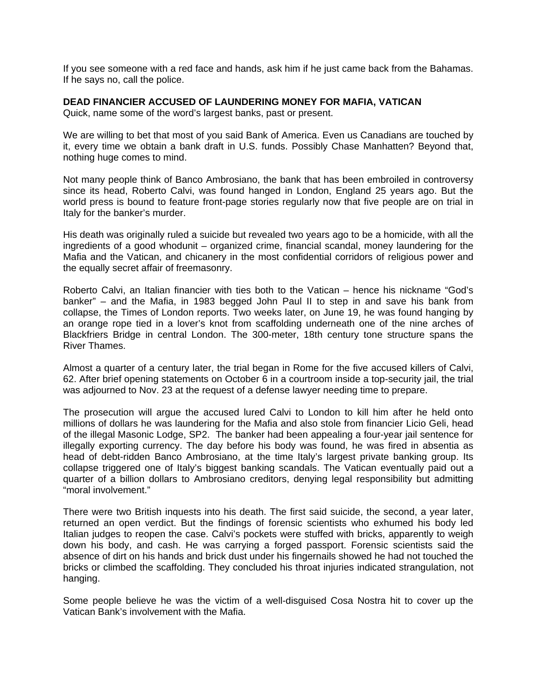If you see someone with a red face and hands, ask him if he just came back from the Bahamas. If he says no, call the police.

## **DEAD FINANCIER ACCUSED OF LAUNDERING MONEY FOR MAFIA, VATICAN**

Quick, name some of the word's largest banks, past or present.

We are willing to bet that most of you said Bank of America. Even us Canadians are touched by it, every time we obtain a bank draft in U.S. funds. Possibly Chase Manhatten? Beyond that, nothing huge comes to mind.

Not many people think of Banco Ambrosiano, the bank that has been embroiled in controversy since its head, Roberto Calvi, was found hanged in London, England 25 years ago. But the world press is bound to feature front-page stories regularly now that five people are on trial in Italy for the banker's murder.

His death was originally ruled a suicide but revealed two years ago to be a homicide, with all the ingredients of a good whodunit – organized crime, financial scandal, money laundering for the Mafia and the Vatican, and chicanery in the most confidential corridors of religious power and the equally secret affair of freemasonry.

Roberto Calvi, an Italian financier with ties both to the Vatican – hence his nickname "God's banker" – and the Mafia, in 1983 begged John Paul II to step in and save his bank from collapse, the Times of London reports. Two weeks later, on June 19, he was found hanging by an orange rope tied in a lover's knot from scaffolding underneath one of the nine arches of Blackfriers Bridge in central London. The 300-meter, 18th century tone structure spans the River Thames.

Almost a quarter of a century later, the trial began in Rome for the five accused killers of Calvi, 62. After brief opening statements on October 6 in a courtroom inside a top-security jail, the trial was adjourned to Nov. 23 at the request of a defense lawyer needing time to prepare.

The prosecution will argue the accused lured Calvi to London to kill him after he held onto millions of dollars he was laundering for the Mafia and also stole from financier Licio Geli, head of the illegal Masonic Lodge, SP2. The banker had been appealing a four-year jail sentence for illegally exporting currency. The day before his body was found, he was fired in absentia as head of debt-ridden Banco Ambrosiano, at the time Italy's largest private banking group. Its collapse triggered one of Italy's biggest banking scandals. The Vatican eventually paid out a quarter of a billion dollars to Ambrosiano creditors, denying legal responsibility but admitting "moral involvement."

There were two British inquests into his death. The first said suicide, the second, a year later, returned an open verdict. But the findings of forensic scientists who exhumed his body led Italian judges to reopen the case. Calvi's pockets were stuffed with bricks, apparently to weigh down his body, and cash. He was carrying a forged passport. Forensic scientists said the absence of dirt on his hands and brick dust under his fingernails showed he had not touched the bricks or climbed the scaffolding. They concluded his throat injuries indicated strangulation, not hanging.

Some people believe he was the victim of a well-disguised Cosa Nostra hit to cover up the Vatican Bank's involvement with the Mafia.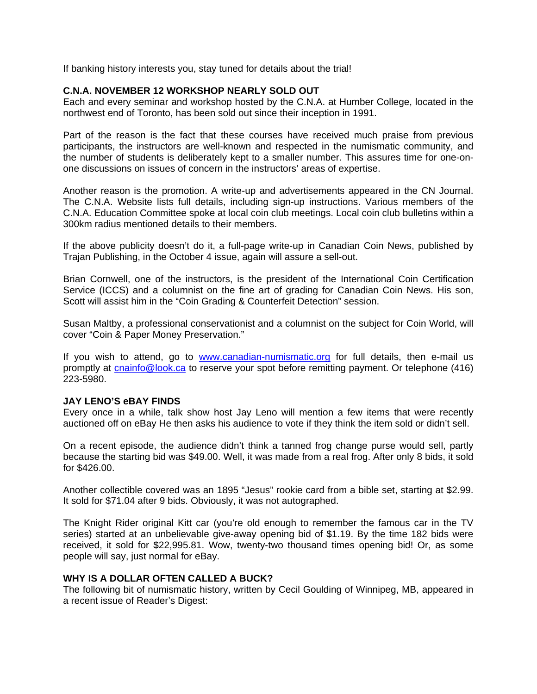If banking history interests you, stay tuned for details about the trial!

# **C.N.A. NOVEMBER 12 WORKSHOP NEARLY SOLD OUT**

Each and every seminar and workshop hosted by the C.N.A. at Humber College, located in the northwest end of Toronto, has been sold out since their inception in 1991.

Part of the reason is the fact that these courses have received much praise from previous participants, the instructors are well-known and respected in the numismatic community, and the number of students is deliberately kept to a smaller number. This assures time for one-onone discussions on issues of concern in the instructors' areas of expertise.

Another reason is the promotion. A write-up and advertisements appeared in the CN Journal. The C.N.A. Website lists full details, including sign-up instructions. Various members of the C.N.A. Education Committee spoke at local coin club meetings. Local coin club bulletins within a 300km radius mentioned details to their members.

If the above publicity doesn't do it, a full-page write-up in Canadian Coin News, published by Trajan Publishing, in the October 4 issue, again will assure a sell-out.

Brian Cornwell, one of the instructors, is the president of the International Coin Certification Service (ICCS) and a columnist on the fine art of grading for Canadian Coin News. His son, Scott will assist him in the "Coin Grading & Counterfeit Detection" session.

Susan Maltby, a professional conservationist and a columnist on the subject for Coin World, will cover "Coin & Paper Money Preservation."

If you wish to attend, go to www.canadian-numismatic.org for full details, then e-mail us promptly at cnainfo@look.ca to reserve your spot before remitting payment. Or telephone (416) 223-5980.

## **JAY LENO'S eBAY FINDS**

Every once in a while, talk show host Jay Leno will mention a few items that were recently auctioned off on eBay He then asks his audience to vote if they think the item sold or didn't sell.

On a recent episode, the audience didn't think a tanned frog change purse would sell, partly because the starting bid was \$49.00. Well, it was made from a real frog. After only 8 bids, it sold for \$426.00.

Another collectible covered was an 1895 "Jesus" rookie card from a bible set, starting at \$2.99. It sold for \$71.04 after 9 bids. Obviously, it was not autographed.

The Knight Rider original Kitt car (you're old enough to remember the famous car in the TV series) started at an unbelievable give-away opening bid of \$1.19. By the time 182 bids were received, it sold for \$22,995.81. Wow, twenty-two thousand times opening bid! Or, as some people will say, just normal for eBay.

# **WHY IS A DOLLAR OFTEN CALLED A BUCK?**

The following bit of numismatic history, written by Cecil Goulding of Winnipeg, MB, appeared in a recent issue of Reader's Digest: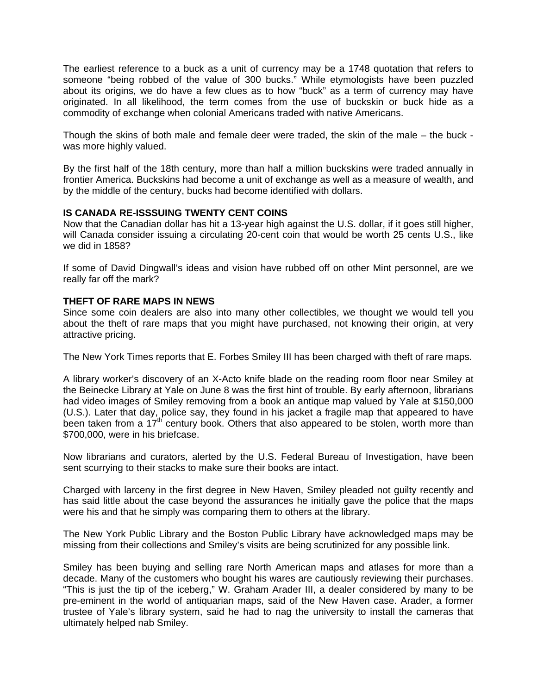The earliest reference to a buck as a unit of currency may be a 1748 quotation that refers to someone "being robbed of the value of 300 bucks." While etymologists have been puzzled about its origins, we do have a few clues as to how "buck" as a term of currency may have originated. In all likelihood, the term comes from the use of buckskin or buck hide as a commodity of exchange when colonial Americans traded with native Americans.

Though the skins of both male and female deer were traded, the skin of the male – the buck was more highly valued.

By the first half of the 18th century, more than half a million buckskins were traded annually in frontier America. Buckskins had become a unit of exchange as well as a measure of wealth, and by the middle of the century, bucks had become identified with dollars.

# **IS CANADA RE-ISSSUING TWENTY CENT COINS**

Now that the Canadian dollar has hit a 13-year high against the U.S. dollar, if it goes still higher, will Canada consider issuing a circulating 20-cent coin that would be worth 25 cents U.S., like we did in 1858?

If some of David Dingwall's ideas and vision have rubbed off on other Mint personnel, are we really far off the mark?

## **THEFT OF RARE MAPS IN NEWS**

Since some coin dealers are also into many other collectibles, we thought we would tell you about the theft of rare maps that you might have purchased, not knowing their origin, at very attractive pricing.

The New York Times reports that E. Forbes Smiley III has been charged with theft of rare maps.

A library worker's discovery of an X-Acto knife blade on the reading room floor near Smiley at the Beinecke Library at Yale on June 8 was the first hint of trouble. By early afternoon, librarians had video images of Smiley removing from a book an antique map valued by Yale at \$150,000 (U.S.). Later that day, police say, they found in his jacket a fragile map that appeared to have been taken from a  $17<sup>th</sup>$  century book. Others that also appeared to be stolen, worth more than \$700,000, were in his briefcase.

Now librarians and curators, alerted by the U.S. Federal Bureau of Investigation, have been sent scurrying to their stacks to make sure their books are intact.

Charged with larceny in the first degree in New Haven, Smiley pleaded not guilty recently and has said little about the case beyond the assurances he initially gave the police that the maps were his and that he simply was comparing them to others at the library.

The New York Public Library and the Boston Public Library have acknowledged maps may be missing from their collections and Smiley's visits are being scrutinized for any possible link.

Smiley has been buying and selling rare North American maps and atlases for more than a decade. Many of the customers who bought his wares are cautiously reviewing their purchases. "This is just the tip of the iceberg," W. Graham Arader III, a dealer considered by many to be pre-eminent in the world of antiquarian maps, said of the New Haven case. Arader, a former trustee of Yale's library system, said he had to nag the university to install the cameras that ultimately helped nab Smiley.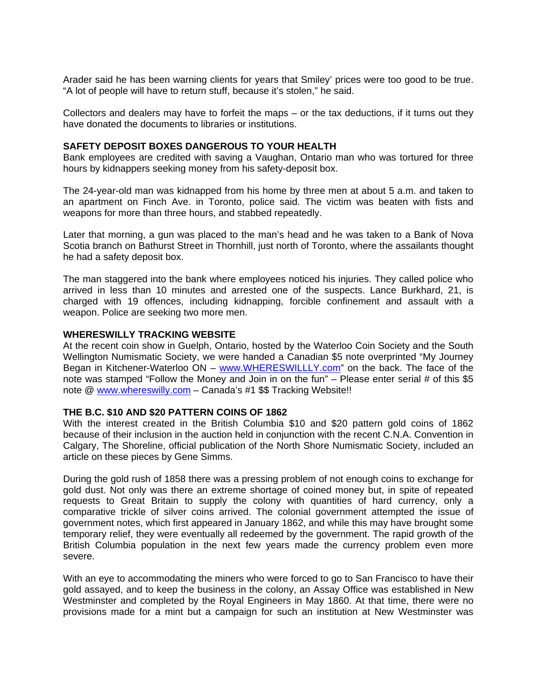Arader said he has been warning clients for years that Smiley' prices were too good to be true. "A lot of people will have to return stuff, because it's stolen," he said.

Collectors and dealers may have to forfeit the maps – or the tax deductions, if it turns out they have donated the documents to libraries or institutions.

#### **SAFETY DEPOSIT BOXES DANGEROUS TO YOUR HEALTH**

Bank employees are credited with saving a Vaughan, Ontario man who was tortured for three hours by kidnappers seeking money from his safety-deposit box.

The 24-year-old man was kidnapped from his home by three men at about 5 a.m. and taken to an apartment on Finch Ave. in Toronto, police said. The victim was beaten with fists and weapons for more than three hours, and stabbed repeatedly.

Later that morning, a gun was placed to the man's head and he was taken to a Bank of Nova Scotia branch on Bathurst Street in Thornhill, just north of Toronto, where the assailants thought he had a safety deposit box.

The man staggered into the bank where employees noticed his injuries. They called police who arrived in less than 10 minutes and arrested one of the suspects. Lance Burkhard, 21, is charged with 19 offences, including kidnapping, forcible confinement and assault with a weapon. Police are seeking two more men.

#### **WHERESWILLY TRACKING WEBSITE**

At the recent coin show in Guelph, Ontario, hosted by the Waterloo Coin Society and the South Wellington Numismatic Society, we were handed a Canadian \$5 note overprinted "My Journey Began in Kitchener-Waterloo ON – www.WHERESWILLLY.com" on the back. The face of the note was stamped "Follow the Money and Join in on the fun" – Please enter serial # of this \$5 note @ www.whereswilly.com – Canada's #1 \$\$ Tracking Website!!

### **THE B.C. \$10 AND \$20 PATTERN COINS OF 1862**

With the interest created in the British Columbia \$10 and \$20 pattern gold coins of 1862 because of their inclusion in the auction held in conjunction with the recent C.N.A. Convention in Calgary, The Shoreline, official publication of the North Shore Numismatic Society, included an article on these pieces by Gene Simms.

During the gold rush of 1858 there was a pressing problem of not enough coins to exchange for gold dust. Not only was there an extreme shortage of coined money but, in spite of repeated requests to Great Britain to supply the colony with quantities of hard currency, only a comparative trickle of silver coins arrived. The colonial government attempted the issue of government notes, which first appeared in January 1862, and while this may have brought some temporary relief, they were eventually all redeemed by the government. The rapid growth of the British Columbia population in the next few years made the currency problem even more severe.

With an eye to accommodating the miners who were forced to go to San Francisco to have their gold assayed, and to keep the business in the colony, an Assay Office was established in New Westminster and completed by the Royal Engineers in May 1860. At that time, there were no provisions made for a mint but a campaign for such an institution at New Westminster was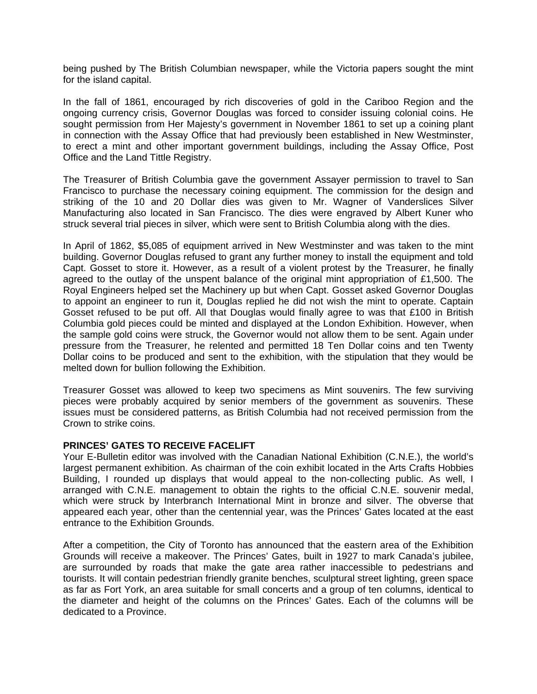being pushed by The British Columbian newspaper, while the Victoria papers sought the mint for the island capital.

In the fall of 1861, encouraged by rich discoveries of gold in the Cariboo Region and the ongoing currency crisis, Governor Douglas was forced to consider issuing colonial coins. He sought permission from Her Majesty's government in November 1861 to set up a coining plant in connection with the Assay Office that had previously been established in New Westminster, to erect a mint and other important government buildings, including the Assay Office, Post Office and the Land Tittle Registry.

The Treasurer of British Columbia gave the government Assayer permission to travel to San Francisco to purchase the necessary coining equipment. The commission for the design and striking of the 10 and 20 Dollar dies was given to Mr. Wagner of Vanderslices Silver Manufacturing also located in San Francisco. The dies were engraved by Albert Kuner who struck several trial pieces in silver, which were sent to British Columbia along with the dies.

In April of 1862, \$5,085 of equipment arrived in New Westminster and was taken to the mint building. Governor Douglas refused to grant any further money to install the equipment and told Capt. Gosset to store it. However, as a result of a violent protest by the Treasurer, he finally agreed to the outlay of the unspent balance of the original mint appropriation of £1,500. The Royal Engineers helped set the Machinery up but when Capt. Gosset asked Governor Douglas to appoint an engineer to run it, Douglas replied he did not wish the mint to operate. Captain Gosset refused to be put off. All that Douglas would finally agree to was that £100 in British Columbia gold pieces could be minted and displayed at the London Exhibition. However, when the sample gold coins were struck, the Governor would not allow them to be sent. Again under pressure from the Treasurer, he relented and permitted 18 Ten Dollar coins and ten Twenty Dollar coins to be produced and sent to the exhibition, with the stipulation that they would be melted down for bullion following the Exhibition.

Treasurer Gosset was allowed to keep two specimens as Mint souvenirs. The few surviving pieces were probably acquired by senior members of the government as souvenirs. These issues must be considered patterns, as British Columbia had not received permission from the Crown to strike coins.

## **PRINCES' GATES TO RECEIVE FACELIFT**

Your E-Bulletin editor was involved with the Canadian National Exhibition (C.N.E.), the world's largest permanent exhibition. As chairman of the coin exhibit located in the Arts Crafts Hobbies Building, I rounded up displays that would appeal to the non-collecting public. As well, I arranged with C.N.E. management to obtain the rights to the official C.N.E. souvenir medal, which were struck by Interbranch International Mint in bronze and silver. The obverse that appeared each year, other than the centennial year, was the Princes' Gates located at the east entrance to the Exhibition Grounds.

After a competition, the City of Toronto has announced that the eastern area of the Exhibition Grounds will receive a makeover. The Princes' Gates, built in 1927 to mark Canada's jubilee, are surrounded by roads that make the gate area rather inaccessible to pedestrians and tourists. It will contain pedestrian friendly granite benches, sculptural street lighting, green space as far as Fort York, an area suitable for small concerts and a group of ten columns, identical to the diameter and height of the columns on the Princes' Gates. Each of the columns will be dedicated to a Province.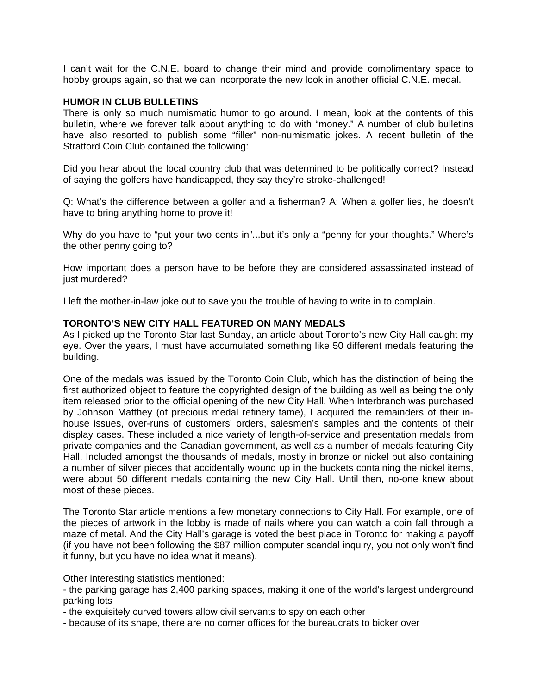I can't wait for the C.N.E. board to change their mind and provide complimentary space to hobby groups again, so that we can incorporate the new look in another official C.N.E. medal.

#### **HUMOR IN CLUB BULLETINS**

There is only so much numismatic humor to go around. I mean, look at the contents of this bulletin, where we forever talk about anything to do with "money." A number of club bulletins have also resorted to publish some "filler" non-numismatic jokes. A recent bulletin of the Stratford Coin Club contained the following:

Did you hear about the local country club that was determined to be politically correct? Instead of saying the golfers have handicapped, they say they're stroke-challenged!

Q: What's the difference between a golfer and a fisherman? A: When a golfer lies, he doesn't have to bring anything home to prove it!

Why do you have to "put your two cents in"...but it's only a "penny for your thoughts." Where's the other penny going to?

How important does a person have to be before they are considered assassinated instead of just murdered?

I left the mother-in-law joke out to save you the trouble of having to write in to complain.

# **TORONTO'S NEW CITY HALL FEATURED ON MANY MEDALS**

As I picked up the Toronto Star last Sunday, an article about Toronto's new City Hall caught my eye. Over the years, I must have accumulated something like 50 different medals featuring the building.

One of the medals was issued by the Toronto Coin Club, which has the distinction of being the first authorized object to feature the copyrighted design of the building as well as being the only item released prior to the official opening of the new City Hall. When Interbranch was purchased by Johnson Matthey (of precious medal refinery fame), I acquired the remainders of their inhouse issues, over-runs of customers' orders, salesmen's samples and the contents of their display cases. These included a nice variety of length-of-service and presentation medals from private companies and the Canadian government, as well as a number of medals featuring City Hall. Included amongst the thousands of medals, mostly in bronze or nickel but also containing a number of silver pieces that accidentally wound up in the buckets containing the nickel items, were about 50 different medals containing the new City Hall. Until then, no-one knew about most of these pieces.

The Toronto Star article mentions a few monetary connections to City Hall. For example, one of the pieces of artwork in the lobby is made of nails where you can watch a coin fall through a maze of metal. And the City Hall's garage is voted the best place in Toronto for making a payoff (if you have not been following the \$87 million computer scandal inquiry, you not only won't find it funny, but you have no idea what it means).

Other interesting statistics mentioned:

- the parking garage has 2,400 parking spaces, making it one of the world's largest underground parking lots

- the exquisitely curved towers allow civil servants to spy on each other

- because of its shape, there are no corner offices for the bureaucrats to bicker over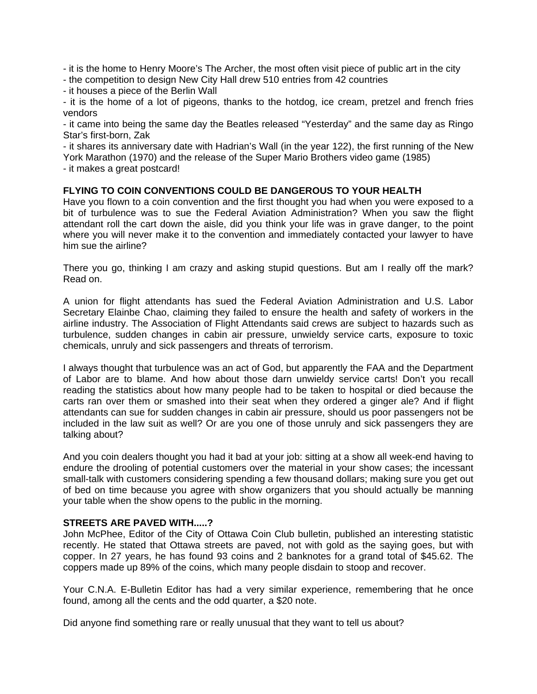- it is the home to Henry Moore's The Archer, the most often visit piece of public art in the city

- the competition to design New City Hall drew 510 entries from 42 countries

- it houses a piece of the Berlin Wall

- it is the home of a lot of pigeons, thanks to the hotdog, ice cream, pretzel and french fries vendors

- it came into being the same day the Beatles released "Yesterday" and the same day as Ringo Star's first-born, Zak

- it shares its anniversary date with Hadrian's Wall (in the year 122), the first running of the New York Marathon (1970) and the release of the Super Mario Brothers video game (1985)

- it makes a great postcard!

# **FLYING TO COIN CONVENTIONS COULD BE DANGEROUS TO YOUR HEALTH**

Have you flown to a coin convention and the first thought you had when you were exposed to a bit of turbulence was to sue the Federal Aviation Administration? When you saw the flight attendant roll the cart down the aisle, did you think your life was in grave danger, to the point where you will never make it to the convention and immediately contacted your lawyer to have him sue the airline?

There you go, thinking I am crazy and asking stupid questions. But am I really off the mark? Read on.

A union for flight attendants has sued the Federal Aviation Administration and U.S. Labor Secretary Elainbe Chao, claiming they failed to ensure the health and safety of workers in the airline industry. The Association of Flight Attendants said crews are subject to hazards such as turbulence, sudden changes in cabin air pressure, unwieldy service carts, exposure to toxic chemicals, unruly and sick passengers and threats of terrorism.

I always thought that turbulence was an act of God, but apparently the FAA and the Department of Labor are to blame. And how about those darn unwieldy service carts! Don't you recall reading the statistics about how many people had to be taken to hospital or died because the carts ran over them or smashed into their seat when they ordered a ginger ale? And if flight attendants can sue for sudden changes in cabin air pressure, should us poor passengers not be included in the law suit as well? Or are you one of those unruly and sick passengers they are talking about?

And you coin dealers thought you had it bad at your job: sitting at a show all week-end having to endure the drooling of potential customers over the material in your show cases; the incessant small-talk with customers considering spending a few thousand dollars; making sure you get out of bed on time because you agree with show organizers that you should actually be manning your table when the show opens to the public in the morning.

# **STREETS ARE PAVED WITH.....?**

John McPhee, Editor of the City of Ottawa Coin Club bulletin, published an interesting statistic recently. He stated that Ottawa streets are paved, not with gold as the saying goes, but with copper. In 27 years, he has found 93 coins and 2 banknotes for a grand total of \$45.62. The coppers made up 89% of the coins, which many people disdain to stoop and recover.

Your C.N.A. E-Bulletin Editor has had a very similar experience, remembering that he once found, among all the cents and the odd quarter, a \$20 note.

Did anyone find something rare or really unusual that they want to tell us about?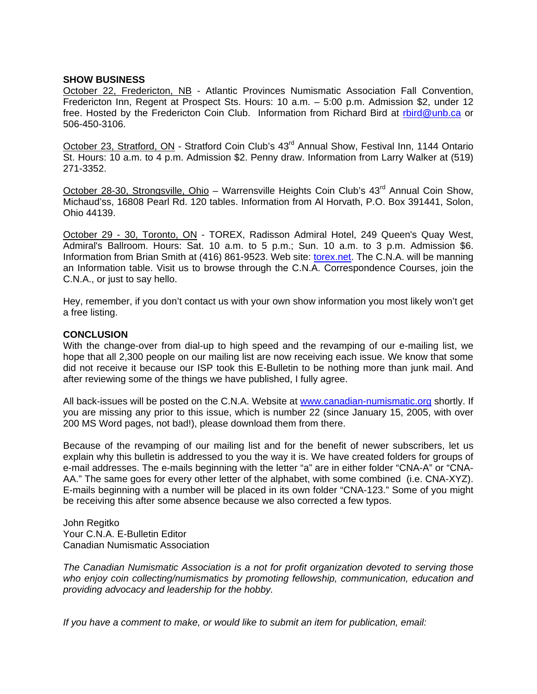#### **SHOW BUSINESS**

October 22, Fredericton, NB - Atlantic Provinces Numismatic Association Fall Convention, Fredericton Inn, Regent at Prospect Sts. Hours: 10 a.m. – 5:00 p.m. Admission \$2, under 12 free. Hosted by the Fredericton Coin Club. Information from Richard Bird at rbird@unb.ca or 506-450-3106.

October 23, Stratford, ON - Stratford Coin Club's 43<sup>rd</sup> Annual Show, Festival Inn, 1144 Ontario St. Hours: 10 a.m. to 4 p.m. Admission \$2. Penny draw. Information from Larry Walker at (519) 271-3352.

October 28-30, Strongsville, Ohio – Warrensville Heights Coin Club's 43<sup>rd</sup> Annual Coin Show, Michaud'ss, 16808 Pearl Rd. 120 tables. Information from Al Horvath, P.O. Box 391441, Solon, Ohio 44139.

October 29 - 30, Toronto, ON - TOREX, Radisson Admiral Hotel, 249 Queen's Quay West, Admiral's Ballroom. Hours: Sat. 10 a.m. to 5 p.m.; Sun. 10 a.m. to 3 p.m. Admission \$6. Information from Brian Smith at (416) 861-9523. Web site: torex.net. The C.N.A. will be manning an Information table. Visit us to browse through the C.N.A. Correspondence Courses, join the C.N.A., or just to say hello.

Hey, remember, if you don't contact us with your own show information you most likely won't get a free listing.

#### **CONCLUSION**

With the change-over from dial-up to high speed and the revamping of our e-mailing list, we hope that all 2,300 people on our mailing list are now receiving each issue. We know that some did not receive it because our ISP took this E-Bulletin to be nothing more than junk mail. And after reviewing some of the things we have published, I fully agree.

All back-issues will be posted on the C.N.A. Website at www.canadian-numismatic.org shortly. If you are missing any prior to this issue, which is number 22 (since January 15, 2005, with over 200 MS Word pages, not bad!), please download them from there.

Because of the revamping of our mailing list and for the benefit of newer subscribers, let us explain why this bulletin is addressed to you the way it is. We have created folders for groups of e-mail addresses. The e-mails beginning with the letter "a" are in either folder "CNA-A" or "CNA-AA." The same goes for every other letter of the alphabet, with some combined (i.e. CNA-XYZ). E-mails beginning with a number will be placed in its own folder "CNA-123." Some of you might be receiving this after some absence because we also corrected a few typos.

John Regitko Your C.N.A. E-Bulletin Editor Canadian Numismatic Association

*The Canadian Numismatic Association is a not for profit organization devoted to serving those who enjoy coin collecting/numismatics by promoting fellowship, communication, education and providing advocacy and leadership for the hobby.* 

*If you have a comment to make, or would like to submit an item for publication, email:*